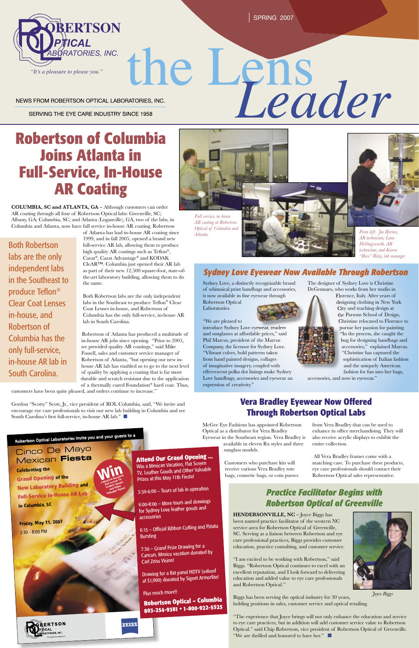SPRING 2007

NEWS FROM ROBERTSON OPTICAL LABORATORIES, INC.

SERVING THE EYE CARE INDUSTRY SINCE 1958

# **Robertson of Columbia Joins Atlanta in Full-Service, In-House AR Coating**

**COLUMBIA, SC and ATLANTA, GA –** Although customers can order AR coating through all four of Robertson Optical labs: Greenville, SC; Albany, GA; Columbia, SC; and Atlanta (Loganville), GA, two of the labs, in Columbia and Atlanta, now have full service in-house AR coating. Robertson

> of Atlanta has had in-house AR coating since 1999, and in fall 2005, opened a brand new full-service AR lab, allowing them to produce high quality AR coatings such as Teflon®, Carat®, Carat Advantage® and KODAK CleAR™. Columbia just opened their AR lab as part of their new 12,500 square-foot, state-ofthe-art laboratory building, allowing them to do the same.

Gordon "Scotty" Scott, Jr., vice president of ROL Columbia, said, "We invite and encourage eye care professionals to visit our new lab building in Columbia and see South Carolina's first full-service, in-house AR lab."  $\Box$ 

**Windows** 

**Leather Goods and Other Prime of Prizes!**<br>Valuable Prizes!

**ZEISS** 

Both Robertson labs are the only independent labs in the Southeast to produce Teflon® Clear Coat Lenses in-house, and Robertson of Columbia has the only full-service, in-house AR lab in South Carolina.

Robertson of Atlanta has produced a multitude of in-house AR jobs since opening. "Prior to 2005, we provided quality AR coatings," said Mike Fussell, sales and customer service manager of Robertson of Atlanta, "but opening our new inhouse AR lab has enabled us to go to the next level of quality by applying a coating that is far more durable and scratch resistant due to the application of a thermally cured Foundation® hard coat. Thus,

customers have been quite pleased, and orders continue to increase."

Sydney Love, a distinctly recognizable brand of whimsical print handbags and accessories, is now available in fine eyewear through



# the L Phs<br>Leader

Both Robertson labs are the only independent labs in the Southeast to produce Teflon® Clear Coat Lenses in-house, and Robertson of Columbia has the only full-service, in-house AR lab in South Carolina.

# *Practice Facilitator Begins with Robertson Optical of Greenville*



*Atlanta.* 





<sup>R</sup>obertso<sup>n</sup> <sup>O</sup>ptica<sup>l</sup> <sup>L</sup>aboratorie<sup>s</sup> <sup>I</sup>nvit<sup>e</sup> <sup>y</sup>o<sup>u</sup> <sup>a</sup><sup>n</sup><sup>d</sup> <sup>y</sup>ou<sup>r</sup> <sup>g</sup>uest<sup>s</sup> <sup>t</sup><sup>o</sup> <sup>a</sup>

Cinco De Mayo Mexican **Fiesta Celebrating the**

**Grand Opening of the New Laboratory Building and Full-Service In-House AR Lab in Columbia, SC**

**Friday, May 11, <sup>2007</sup>** 3:30 - 8:00 PM

**RERTSON** 劜CAL ORIES.INC.

**HENDERSONVILLE, NC –** Joyce Biggs has been named practice facilitator of the western NC service area for Robertson Optical of Greenville, SC. Serving as a liaison between Robertson and eye care professional practices, Biggs provides customer education, practice consulting, and customer service.

6:15 - Official Ribbon Cutting and Piñata Bursting

Drawing for a flat panel HDTV (valued at \$1,000) donated by Signet Armorlite! "I am excited to be working with Robertson," said Biggs. "Robertson Optical continues to excel with an excellent reputation, and I look forward to delivering education and added value to eye care professionals and Robertson Optical."

Biggs has been serving the optical industry for 30 years, holding positions in sales, customer service and optical retailing.

"The experience that Joyce brings will not only enhance the education and service to eye care practices, but in addition will add customer service value to Robertson Optical." said Chip Robertson, vice president of Robertson Optical of Greenville. "We are thrilled and honored to have her." ■

Robertson Optical Laboratories.

"We are pleased to

introduce Sydney Love eyewear, readers and sunglasses at affordable prices," said Phil Marcus, president of the Marcus Company, the licensor for Sydney Love. "Vibrant colors, bold patterns taken from hand painted designs, collages of imaginative imagery, coupled with effervescent polka dot linings make Sydney Love handbags, accessories and eyewear an expression of creativity."

### *Sydney Love Eyewear Now Available Through Robertson*

The designer of Sydney Love is Christine DeGennaro, who works from her studio in

Florence, Italy. After years of designing clothing in New York City and teaching design at the Parsons School of Design, Christine relocated to Florence to pursue her passion for painting. "In the process, she caught the bug for designing handbags and accessories," explained Marcus. "Christine has captured the From left: Joe Byrnes,<br>AR technician; Lenn<br>Hollingsworth, AR<br>technician; and Kieron<br>"Rico" Riley, lab mana<br>"Rico" Riley, lab mana<br>sy Love is Christine<br>s from her studio in<br>Italy. After years of<br>g clothing in New Yor<br>d teac

sophistication of Italian fashion and the uniquely American fashion for fun into her bags,

accessories, and now in eyewear."

McGee Eye Fashions has appointed Robertson Optical as a distributor for Vera Bradley Eyewear in the Southeast region. Vera Bradley is

available in eleven Rx styles and three sunglass models.

Customers who purchase kits will receive various Vera Bradley tote bags, cosmetic bags, or coin purses

## **Vera Bradley Eyewear Now Offered Through Robertson Optical Labs**

from Vera Bradley that can be used to enhance in office merchandising. They will also receive acrylic displays to exhibit the entire collection.

 All Vera Bradley frames come with a matching case. To purchase these products, eye care professionals should contact their Robertson Optical sales representative.

**Attend Our Grand Opening ...** Win a Mexican Vacation, Flat Screen TV, Leather Goods and Other Valuable

Prizes at this May 11th Fiesta!

3:30-6:00 – Tours of lab in operation

6:00-8:00 – More tours and drawings for Sydney Love leather goods and accessories

7:30 – Grand Prize Drawing for a Cancun, Mexico vacation donated by Carl Zeiss Vision!

Plus much more!! **Robertson Optical – Columbia 803-254-9381 • 1-800-922-5525** 



*AR technician; Lenn Hollingsworth, AR technician; and Kieron "Rico" Riley, lab manager*